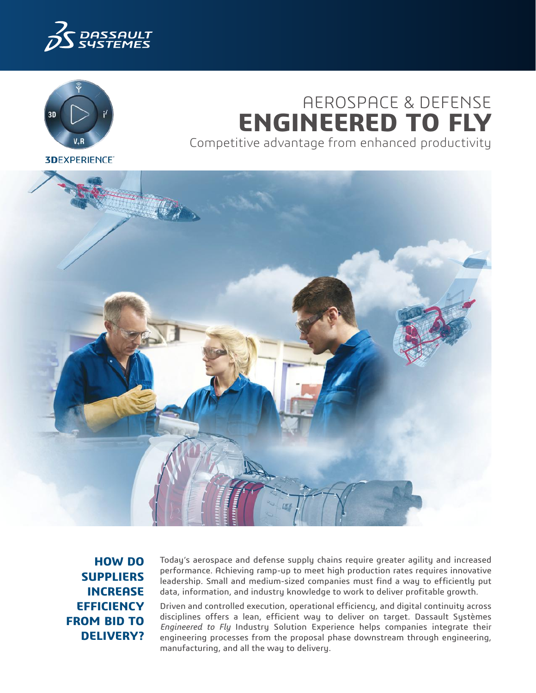



# AEROSPACE & DEFENSE **ENGINEERED TO FLY** Competitive advantage from enhanced productivity

**3DEXPERIENCE®** 



**HOW DO SUPPLIERS INCREASE EFFICIENCY FROM BID TO DELIVERY?**

Today's aerospace and defense supply chains require greater agility and increased performance. Achieving ramp-up to meet high production rates requires innovative leadership. Small and medium-sized companies must find a way to efficiently put data, information, and industry knowledge to work to deliver profitable growth.

Driven and controlled execution, operational efficiency, and digital continuity across disciplines offers a lean, efficient way to deliver on target. Dassault Systèmes *Engineered to Fly* Industry Solution Experience helps companies integrate their engineering processes from the proposal phase downstream through engineering, manufacturing, and all the way to delivery.